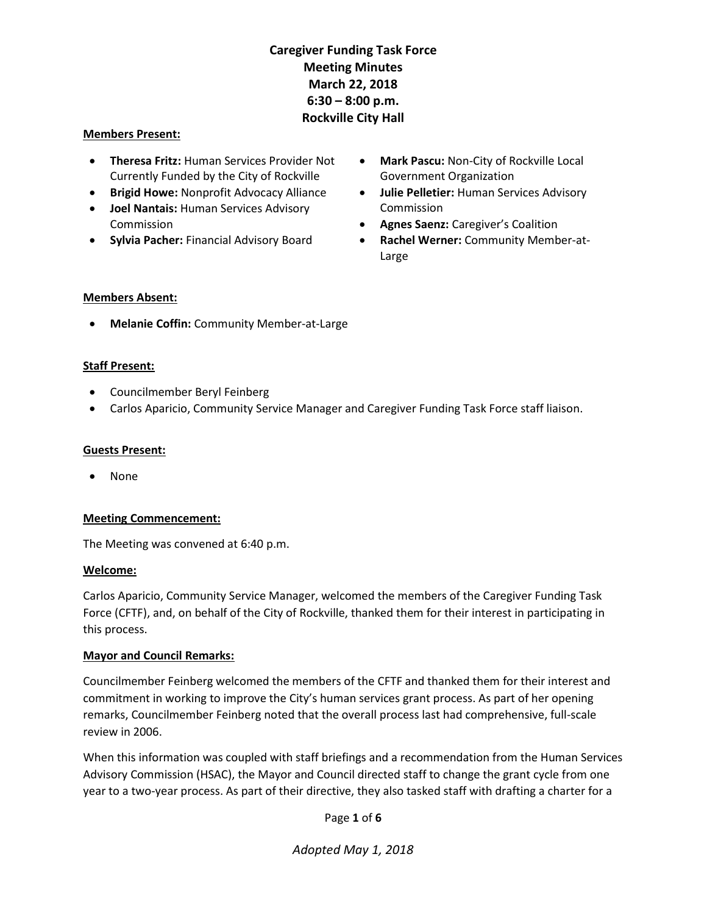#### Members Present:

- **Theresa Fritz: Human Services Provider Not** Currently Funded by the City of Rockville
- **Brigid Howe: Nonprofit Advocacy Alliance**
- **Joel Nantais: Human Services Advisory** Commission
- **Sylvia Pacher: Financial Advisory Board**
- Mark Pascu: Non-City of Rockville Local Government Organization
- Julie Pelletier: Human Services Advisory Commission
- **Agnes Saenz:** Caregiver's Coalition
- Rachel Werner: Community Member-at-Large

#### Members Absent:

Melanie Coffin: Community Member-at-Large

## Staff Present:

- Councilmember Beryl Feinberg
- Carlos Aparicio, Community Service Manager and Caregiver Funding Task Force staff liaison.

#### Guests Present:

None

## Meeting Commencement:

The Meeting was convened at 6:40 p.m.

## Welcome:

Carlos Aparicio, Community Service Manager, welcomed the members of the Caregiver Funding Task Force (CFTF), and, on behalf of the City of Rockville, thanked them for their interest in participating in this process.

## Mayor and Council Remarks:

Councilmember Feinberg welcomed the members of the CFTF and thanked them for their interest and commitment in working to improve the City's human services grant process. As part of her opening remarks, Councilmember Feinberg noted that the overall process last had comprehensive, full-scale review in 2006.

When this information was coupled with staff briefings and a recommendation from the Human Services Advisory Commission (HSAC), the Mayor and Council directed staff to change the grant cycle from one year to a two-year process. As part of their directive, they also tasked staff with drafting a charter for a

Page 1 of 6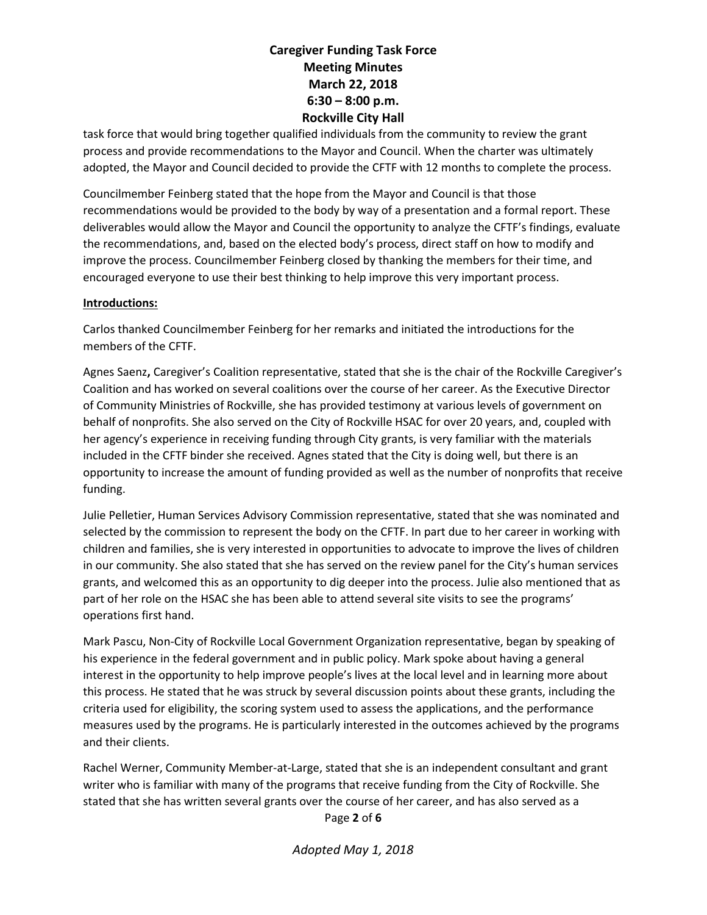task force that would bring together qualified individuals from the community to review the grant process and provide recommendations to the Mayor and Council. When the charter was ultimately adopted, the Mayor and Council decided to provide the CFTF with 12 months to complete the process.

Councilmember Feinberg stated that the hope from the Mayor and Council is that those recommendations would be provided to the body by way of a presentation and a formal report. These deliverables would allow the Mayor and Council the opportunity to analyze the CFTF's findings, evaluate the recommendations, and, based on the elected body's process, direct staff on how to modify and improve the process. Councilmember Feinberg closed by thanking the members for their time, and encouraged everyone to use their best thinking to help improve this very important process.

## Introductions:

Carlos thanked Councilmember Feinberg for her remarks and initiated the introductions for the members of the CFTF.

Agnes Saenz, Caregiver's Coalition representative, stated that she is the chair of the Rockville Caregiver's Coalition and has worked on several coalitions over the course of her career. As the Executive Director of Community Ministries of Rockville, she has provided testimony at various levels of government on behalf of nonprofits. She also served on the City of Rockville HSAC for over 20 years, and, coupled with her agency's experience in receiving funding through City grants, is very familiar with the materials included in the CFTF binder she received. Agnes stated that the City is doing well, but there is an opportunity to increase the amount of funding provided as well as the number of nonprofits that receive funding.

Julie Pelletier, Human Services Advisory Commission representative, stated that she was nominated and selected by the commission to represent the body on the CFTF. In part due to her career in working with children and families, she is very interested in opportunities to advocate to improve the lives of children in our community. She also stated that she has served on the review panel for the City's human services grants, and welcomed this as an opportunity to dig deeper into the process. Julie also mentioned that as part of her role on the HSAC she has been able to attend several site visits to see the programs' operations first hand.

Mark Pascu, Non-City of Rockville Local Government Organization representative, began by speaking of his experience in the federal government and in public policy. Mark spoke about having a general interest in the opportunity to help improve people's lives at the local level and in learning more about this process. He stated that he was struck by several discussion points about these grants, including the criteria used for eligibility, the scoring system used to assess the applications, and the performance measures used by the programs. He is particularly interested in the outcomes achieved by the programs and their clients.

Page 2 of 6 Rachel Werner, Community Member-at-Large, stated that she is an independent consultant and grant writer who is familiar with many of the programs that receive funding from the City of Rockville. She stated that she has written several grants over the course of her career, and has also served as a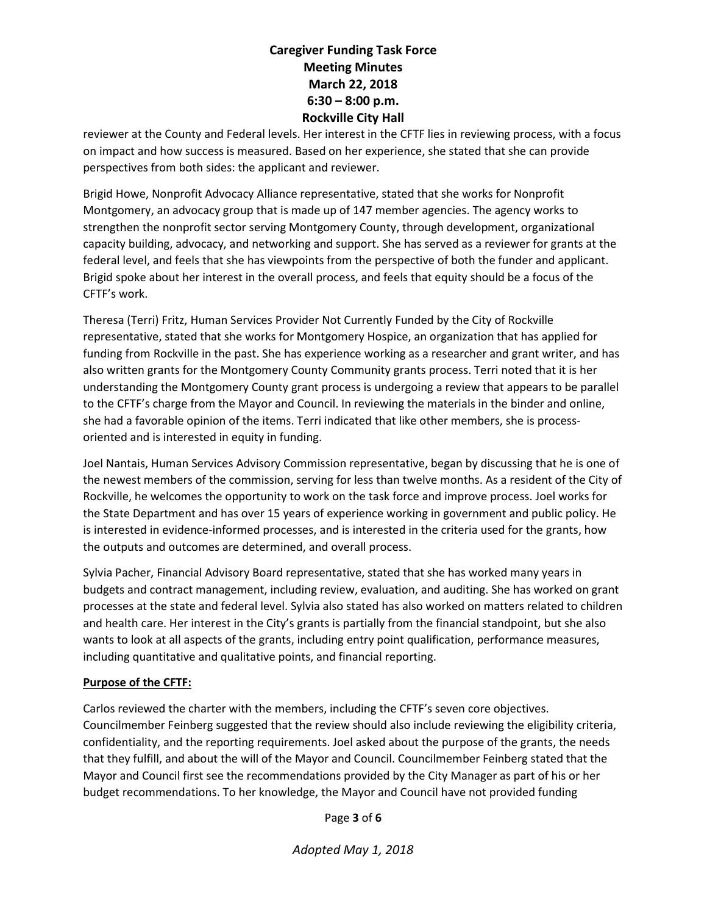reviewer at the County and Federal levels. Her interest in the CFTF lies in reviewing process, with a focus on impact and how success is measured. Based on her experience, she stated that she can provide perspectives from both sides: the applicant and reviewer.

Brigid Howe, Nonprofit Advocacy Alliance representative, stated that she works for Nonprofit Montgomery, an advocacy group that is made up of 147 member agencies. The agency works to strengthen the nonprofit sector serving Montgomery County, through development, organizational capacity building, advocacy, and networking and support. She has served as a reviewer for grants at the federal level, and feels that she has viewpoints from the perspective of both the funder and applicant. Brigid spoke about her interest in the overall process, and feels that equity should be a focus of the CFTF's work.

Theresa (Terri) Fritz, Human Services Provider Not Currently Funded by the City of Rockville representative, stated that she works for Montgomery Hospice, an organization that has applied for funding from Rockville in the past. She has experience working as a researcher and grant writer, and has also written grants for the Montgomery County Community grants process. Terri noted that it is her understanding the Montgomery County grant process is undergoing a review that appears to be parallel to the CFTF's charge from the Mayor and Council. In reviewing the materials in the binder and online, she had a favorable opinion of the items. Terri indicated that like other members, she is processoriented and is interested in equity in funding.

Joel Nantais, Human Services Advisory Commission representative, began by discussing that he is one of the newest members of the commission, serving for less than twelve months. As a resident of the City of Rockville, he welcomes the opportunity to work on the task force and improve process. Joel works for the State Department and has over 15 years of experience working in government and public policy. He is interested in evidence-informed processes, and is interested in the criteria used for the grants, how the outputs and outcomes are determined, and overall process.

Sylvia Pacher, Financial Advisory Board representative, stated that she has worked many years in budgets and contract management, including review, evaluation, and auditing. She has worked on grant processes at the state and federal level. Sylvia also stated has also worked on matters related to children and health care. Her interest in the City's grants is partially from the financial standpoint, but she also wants to look at all aspects of the grants, including entry point qualification, performance measures, including quantitative and qualitative points, and financial reporting.

## Purpose of the CFTF:

Carlos reviewed the charter with the members, including the CFTF's seven core objectives. Councilmember Feinberg suggested that the review should also include reviewing the eligibility criteria, confidentiality, and the reporting requirements. Joel asked about the purpose of the grants, the needs that they fulfill, and about the will of the Mayor and Council. Councilmember Feinberg stated that the Mayor and Council first see the recommendations provided by the City Manager as part of his or her budget recommendations. To her knowledge, the Mayor and Council have not provided funding

Page 3 of 6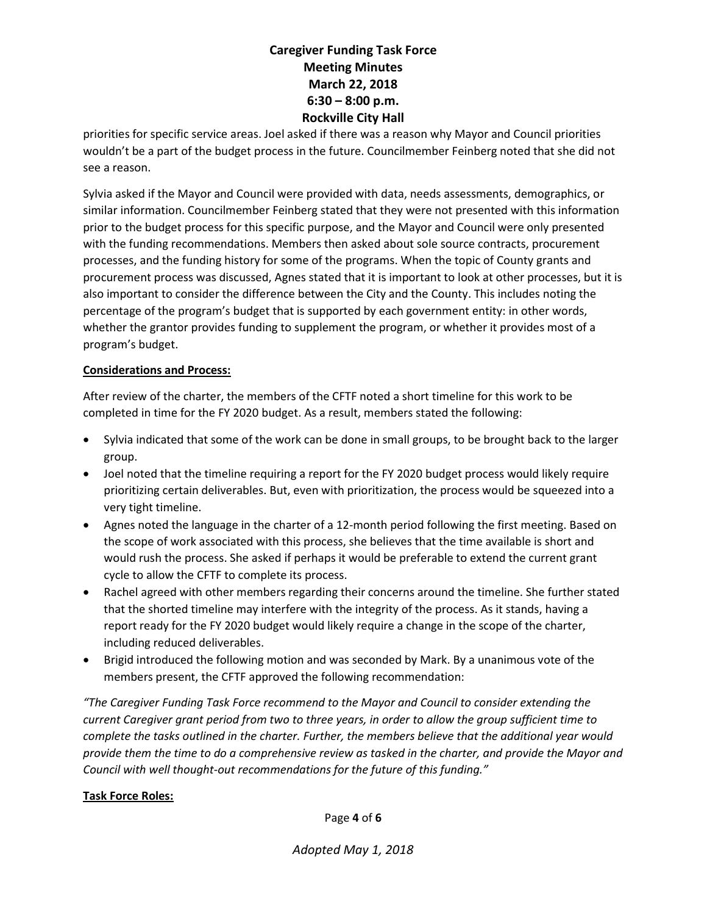priorities for specific service areas. Joel asked if there was a reason why Mayor and Council priorities wouldn't be a part of the budget process in the future. Councilmember Feinberg noted that she did not see a reason.

Sylvia asked if the Mayor and Council were provided with data, needs assessments, demographics, or similar information. Councilmember Feinberg stated that they were not presented with this information prior to the budget process for this specific purpose, and the Mayor and Council were only presented with the funding recommendations. Members then asked about sole source contracts, procurement processes, and the funding history for some of the programs. When the topic of County grants and procurement process was discussed, Agnes stated that it is important to look at other processes, but it is also important to consider the difference between the City and the County. This includes noting the percentage of the program's budget that is supported by each government entity: in other words, whether the grantor provides funding to supplement the program, or whether it provides most of a program's budget.

## Considerations and Process:

After review of the charter, the members of the CFTF noted a short timeline for this work to be completed in time for the FY 2020 budget. As a result, members stated the following:

- Sylvia indicated that some of the work can be done in small groups, to be brought back to the larger group.
- Joel noted that the timeline requiring a report for the FY 2020 budget process would likely require prioritizing certain deliverables. But, even with prioritization, the process would be squeezed into a very tight timeline.
- Agnes noted the language in the charter of a 12-month period following the first meeting. Based on the scope of work associated with this process, she believes that the time available is short and would rush the process. She asked if perhaps it would be preferable to extend the current grant cycle to allow the CFTF to complete its process.
- Rachel agreed with other members regarding their concerns around the timeline. She further stated that the shorted timeline may interfere with the integrity of the process. As it stands, having a report ready for the FY 2020 budget would likely require a change in the scope of the charter, including reduced deliverables.
- Brigid introduced the following motion and was seconded by Mark. By a unanimous vote of the members present, the CFTF approved the following recommendation:

"The Caregiver Funding Task Force recommend to the Mayor and Council to consider extending the current Caregiver grant period from two to three years, in order to allow the group sufficient time to complete the tasks outlined in the charter. Further, the members believe that the additional year would provide them the time to do a comprehensive review as tasked in the charter, and provide the Mayor and Council with well thought-out recommendations for the future of this funding."

## Task Force Roles:

Page 4 of 6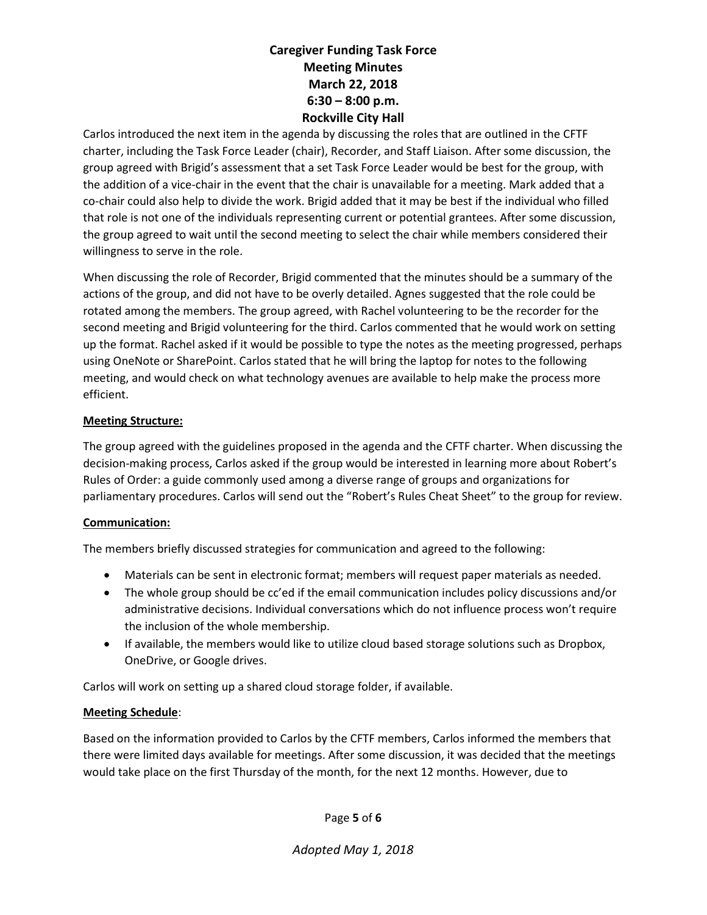Carlos introduced the next item in the agenda by discussing the roles that are outlined in the CFTF charter, including the Task Force Leader (chair), Recorder, and Staff Liaison. After some discussion, the group agreed with Brigid's assessment that a set Task Force Leader would be best for the group, with the addition of a vice-chair in the event that the chair is unavailable for a meeting. Mark added that a co-chair could also help to divide the work. Brigid added that it may be best if the individual who filled that role is not one of the individuals representing current or potential grantees. After some discussion, the group agreed to wait until the second meeting to select the chair while members considered their willingness to serve in the role.

When discussing the role of Recorder, Brigid commented that the minutes should be a summary of the actions of the group, and did not have to be overly detailed. Agnes suggested that the role could be rotated among the members. The group agreed, with Rachel volunteering to be the recorder for the second meeting and Brigid volunteering for the third. Carlos commented that he would work on setting up the format. Rachel asked if it would be possible to type the notes as the meeting progressed, perhaps using OneNote or SharePoint. Carlos stated that he will bring the laptop for notes to the following meeting, and would check on what technology avenues are available to help make the process more efficient.

## Meeting Structure:

The group agreed with the guidelines proposed in the agenda and the CFTF charter. When discussing the decision-making process, Carlos asked if the group would be interested in learning more about Robert's Rules of Order: a guide commonly used among a diverse range of groups and organizations for parliamentary procedures. Carlos will send out the "Robert's Rules Cheat Sheet" to the group for review.

## Communication:

The members briefly discussed strategies for communication and agreed to the following:

- Materials can be sent in electronic format; members will request paper materials as needed.
- The whole group should be cc'ed if the email communication includes policy discussions and/or administrative decisions. Individual conversations which do not influence process won't require the inclusion of the whole membership.
- If available, the members would like to utilize cloud based storage solutions such as Dropbox, OneDrive, or Google drives.

Carlos will work on setting up a shared cloud storage folder, if available.

## Meeting Schedule:

Based on the information provided to Carlos by the CFTF members, Carlos informed the members that there were limited days available for meetings. After some discussion, it was decided that the meetings would take place on the first Thursday of the month, for the next 12 months. However, due to

Page 5 of 6